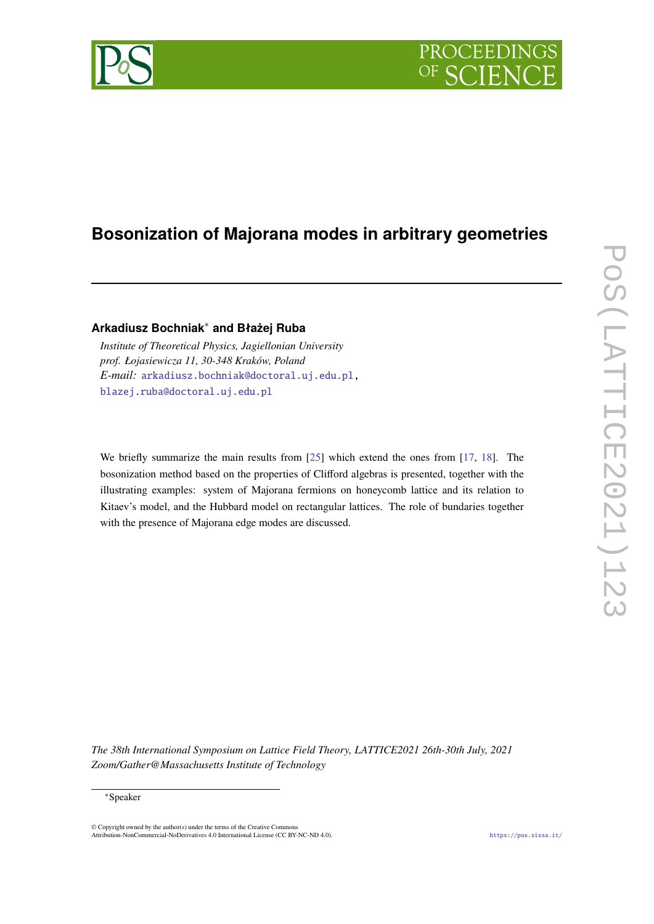

# **Bosonization of Majorana modes in arbitrary geometries**

# **Arkadiusz Bochniak**<sup>∗</sup> **and Błażej Ruba**

*Institute of Theoretical Physics, Jagiellonian University prof. Łojasiewicza 11, 30-348 Kraków, Poland E-mail:* [arkadiusz.bochniak@doctoral.uj.edu.pl,](mailto:arkadiusz.bochniak@doctoral.uj.edu.pl) [blazej.ruba@doctoral.uj.edu.pl](mailto:blazej.ruba@doctoral.uj.edu.pl)

We briefly summarize the main results from [\[25\]](#page-8-0) which extend the ones from [\[17,](#page-8-1) [18\]](#page-8-2). The bosonization method based on the properties of Clifford algebras is presented, together with the illustrating examples: system of Majorana fermions on honeycomb lattice and its relation to Kitaev's model, and the Hubbard model on rectangular lattices. The role of bundaries together with the presence of Majorana edge modes are discussed.

*The 38th International Symposium on Lattice Field Theory, LATTICE2021 26th-30th July, 2021 Zoom/Gather@Massachusetts Institute of Technology*

#### <sup>∗</sup>Speaker

© Copyright owned by the author(s) under the terms of the Creative Commons Attribution-NonCommercial-NoDerivatives 4.0 International License (CC BY-NC-ND 4.0). <https://pos.sissa.it/>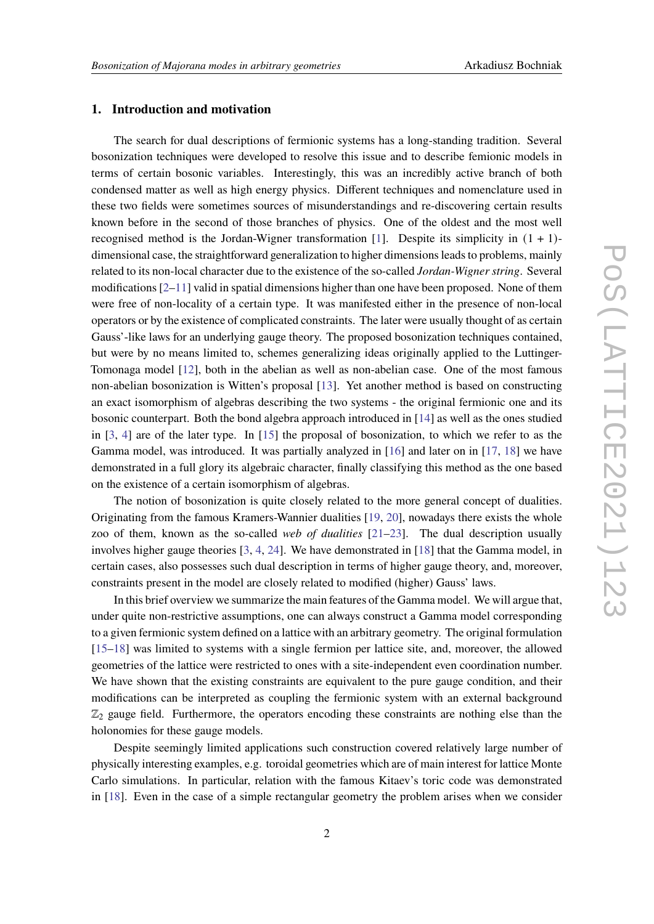### **1. Introduction and motivation**

The search for dual descriptions of fermionic systems has a long-standing tradition. Several bosonization techniques were developed to resolve this issue and to describe femionic models in terms of certain bosonic variables. Interestingly, this was an incredibly active branch of both condensed matter as well as high energy physics. Different techniques and nomenclature used in these two fields were sometimes sources of misunderstandings and re-discovering certain results known before in the second of those branches of physics. One of the oldest and the most well recognised method is the Jordan-Wigner transformation [\[1\]](#page-7-0). Despite its simplicity in  $(1 + 1)$ dimensional case, the straightforward generalization to higher dimensions leads to problems, mainly related to its non-local character due to the existence of the so-called *Jordan-Wigner string*. Several modifications  $[2-11]$  $[2-11]$  valid in spatial dimensions higher than one have been proposed. None of them were free of non-locality of a certain type. It was manifested either in the presence of non-local operators or by the existence of complicated constraints. The later were usually thought of as certain Gauss'-like laws for an underlying gauge theory. The proposed bosonization techniques contained, but were by no means limited to, schemes generalizing ideas originally applied to the Luttinger-Tomonaga model [\[12\]](#page-7-3), both in the abelian as well as non-abelian case. One of the most famous non-abelian bosonization is Witten's proposal [\[13\]](#page-7-4). Yet another method is based on constructing an exact isomorphism of algebras describing the two systems - the original fermionic one and its bosonic counterpart. Both the bond algebra approach introduced in [\[14\]](#page-7-5) as well as the ones studied in [\[3,](#page-7-6) [4\]](#page-7-7) are of the later type. In [\[15\]](#page-7-8) the proposal of bosonization, to which we refer to as the Gamma model, was introduced. It was partially analyzed in [\[16\]](#page-7-9) and later on in [\[17,](#page-8-1) [18\]](#page-8-2) we have demonstrated in a full glory its algebraic character, finally classifying this method as the one based on the existence of a certain isomorphism of algebras.

The notion of bosonization is quite closely related to the more general concept of dualities. Originating from the famous Kramers-Wannier dualities [\[19,](#page-8-3) [20\]](#page-8-4), nowadays there exists the whole zoo of them, known as the so-called *web of dualities* [\[21](#page-8-5)[–23\]](#page-8-6). The dual description usually involves higher gauge theories [\[3,](#page-7-6) [4,](#page-7-7) [24\]](#page-8-7). We have demonstrated in [\[18\]](#page-8-2) that the Gamma model, in certain cases, also possesses such dual description in terms of higher gauge theory, and, moreover, constraints present in the model are closely related to modified (higher) Gauss' laws.

In this brief overview we summarize the main features of the Gamma model. We will argue that, under quite non-restrictive assumptions, one can always construct a Gamma model corresponding to a given fermionic system defined on a lattice with an arbitrary geometry. The original formulation [\[15](#page-7-8)[–18\]](#page-8-2) was limited to systems with a single fermion per lattice site, and, moreover, the allowed geometries of the lattice were restricted to ones with a site-independent even coordination number. We have shown that the existing constraints are equivalent to the pure gauge condition, and their modifications can be interpreted as coupling the fermionic system with an external background  $\mathbb{Z}_2$  gauge field. Furthermore, the operators encoding these constraints are nothing else than the holonomies for these gauge models.

Despite seemingly limited applications such construction covered relatively large number of physically interesting examples, e.g. toroidal geometries which are of main interest for lattice Monte Carlo simulations. In particular, relation with the famous Kitaev's toric code was demonstrated in [\[18\]](#page-8-2). Even in the case of a simple rectangular geometry the problem arises when we consider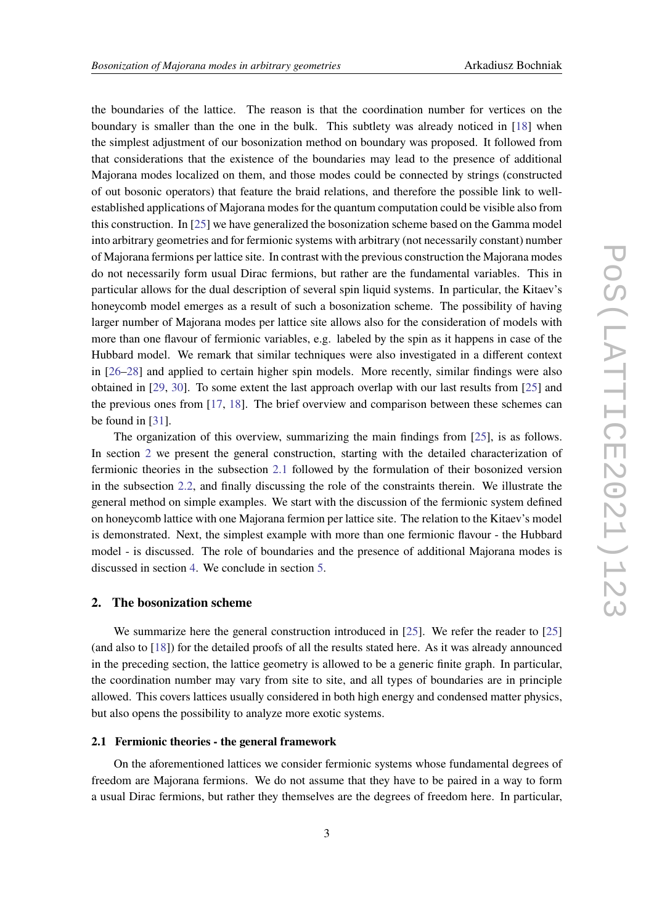the boundaries of the lattice. The reason is that the coordination number for vertices on the boundary is smaller than the one in the bulk. This subtlety was already noticed in [\[18\]](#page-8-2) when the simplest adjustment of our bosonization method on boundary was proposed. It followed from that considerations that the existence of the boundaries may lead to the presence of additional Majorana modes localized on them, and those modes could be connected by strings (constructed of out bosonic operators) that feature the braid relations, and therefore the possible link to wellestablished applications of Majorana modes for the quantum computation could be visible also from this construction. In [\[25\]](#page-8-0) we have generalized the bosonization scheme based on the Gamma model into arbitrary geometries and for fermionic systems with arbitrary (not necessarily constant) number of Majorana fermions per lattice site. In contrast with the previous construction the Majorana modes do not necessarily form usual Dirac fermions, but rather are the fundamental variables. This in particular allows for the dual description of several spin liquid systems. In particular, the Kitaev's honeycomb model emerges as a result of such a bosonization scheme. The possibility of having larger number of Majorana modes per lattice site allows also for the consideration of models with more than one flavour of fermionic variables, e.g. labeled by the spin as it happens in case of the Hubbard model. We remark that similar techniques were also investigated in a different context in [\[26](#page-8-8)[–28\]](#page-8-9) and applied to certain higher spin models. More recently, similar findings were also obtained in [\[29,](#page-8-10) [30\]](#page-8-11). To some extent the last approach overlap with our last results from [\[25\]](#page-8-0) and the previous ones from [\[17,](#page-8-1) [18\]](#page-8-2). The brief overview and comparison between these schemes can be found in [\[31\]](#page-8-12).

The organization of this overview, summarizing the main findings from [\[25\]](#page-8-0), is as follows. In section [2](#page-2-0) we present the general construction, starting with the detailed characterization of fermionic theories in the subsection [2.1](#page-2-1) followed by the formulation of their bosonized version in the subsection [2.2,](#page-3-0) and finally discussing the role of the constraints therein. We illustrate the general method on simple examples. We start with the discussion of the fermionic system defined on honeycomb lattice with one Majorana fermion per lattice site. The relation to the Kitaev's model is demonstrated. Next, the simplest example with more than one fermionic flavour - the Hubbard model - is discussed. The role of boundaries and the presence of additional Majorana modes is discussed in section [4.](#page-6-0) We conclude in section [5.](#page-6-1)

#### <span id="page-2-0"></span>**2. The bosonization scheme**

We summarize here the general construction introduced in [\[25\]](#page-8-0). We refer the reader to [25] (and also to [\[18\]](#page-8-2)) for the detailed proofs of all the results stated here. As it was already announced in the preceding section, the lattice geometry is allowed to be a generic finite graph. In particular, the coordination number may vary from site to site, and all types of boundaries are in principle allowed. This covers lattices usually considered in both high energy and condensed matter physics, but also opens the possibility to analyze more exotic systems.

#### <span id="page-2-1"></span>**2.1 Fermionic theories - the general framework**

On the aforementioned lattices we consider fermionic systems whose fundamental degrees of freedom are Majorana fermions. We do not assume that they have to be paired in a way to form a usual Dirac fermions, but rather they themselves are the degrees of freedom here. In particular,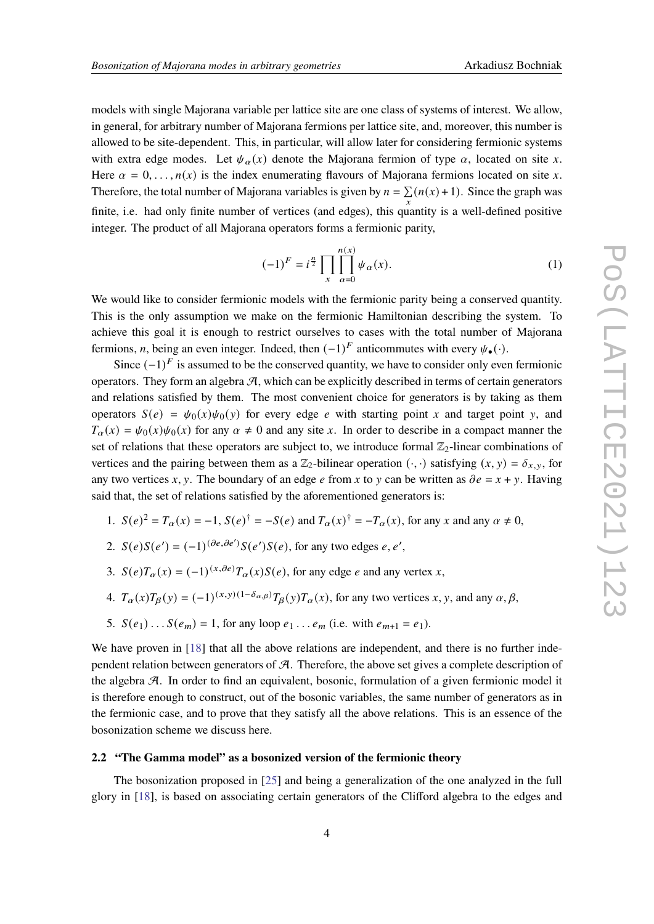models with single Majorana variable per lattice site are one class of systems of interest. We allow, in general, for arbitrary number of Majorana fermions per lattice site, and, moreover, this number is allowed to be site-dependent. This, in particular, will allow later for considering fermionic systems with extra edge modes. Let  $\psi_{\alpha}(x)$  denote the Majorana fermion of type  $\alpha$ , located on site x. Here  $\alpha = 0, \ldots, n(x)$  is the index enumerating flavours of Majorana fermions located on site x. Therefore, the total number of Majorana variables is given by  $n = \sum_{x} (n(x) + 1)$ . Since the graph was finite, i.e. had only finite number of vertices (and edges), this quantity is a well-defined positive integer. The product of all Majorana operators forms a fermionic parity,

$$
(-1)^{F} = i^{\frac{n}{2}} \prod_{x} \prod_{\alpha=0}^{n(x)} \psi_{\alpha}(x).
$$
 (1)

We would like to consider fermionic models with the fermionic parity being a conserved quantity. This is the only assumption we make on the fermionic Hamiltonian describing the system. To achieve this goal it is enough to restrict ourselves to cases with the total number of Majorana fermions, *n*, being an even integer. Indeed, then  $(-1)^F$  anticommutes with every  $\psi_{\bullet}(\cdot)$ .

Since  $(-1)^F$  is assumed to be the conserved quantity, we have to consider only even fermionic operators. They form an algebra  $\mathcal{A}$ , which can be explicitly described in terms of certain generators and relations satisfied by them. The most convenient choice for generators is by taking as them operators  $S(e) = \psi_0(x)\psi_0(y)$  for every edge e with starting point x and target point y, and  $T_{\alpha}(x) = \psi_0(x)\psi_0(x)$  for any  $\alpha \neq 0$  and any site x. In order to describe in a compact manner the set of relations that these operators are subject to, we introduce formal  $\mathbb{Z}_2$ -linear combinations of vertices and the pairing between them as a  $\mathbb{Z}_2$ -bilinear operation  $(\cdot, \cdot)$  satisfying  $(x, y) = \delta_{x, y}$ , for any two vertices x, y. The boundary of an edge e from x to y can be written as  $\partial e = x + y$ . Having said that, the set of relations satisfied by the aforementioned generators is:

- 1.  $S(e)^2 = T_\alpha(x) = -1$ ,  $S(e)^{\dagger} = -S(e)$  and  $T_\alpha(x)^{\dagger} = -T_\alpha(x)$ , for any x and any  $\alpha \neq 0$ ,
- 2.  $S(e)S(e') = (-1)^{(\partial e, \partial e')}S(e')S(e)$ , for any two edges e, e',
- 3.  $S(e)T_{\alpha}(x) = (-1)^{(x,\partial e)}T_{\alpha}(x)S(e)$ , for any edge *e* and any vertex *x*,
- 4.  $T_{\alpha}(x)T_{\beta}(y) = (-1)^{(x,y)(1-\delta_{\alpha,\beta})}T_{\beta}(y)T_{\alpha}(x)$ , for any two vertices x, y, and any  $\alpha, \beta$ ,
- 5.  $S(e_1) \dots S(e_m) = 1$ , for any loop  $e_1 \dots e_m$  (i.e. with  $e_{m+1} = e_1$ ).

We have proven in [\[18\]](#page-8-2) that all the above relations are independent, and there is no further independent relation between generators of  $\mathcal{A}$ . Therefore, the above set gives a complete description of the algebra  $\mathcal{A}$ . In order to find an equivalent, bosonic, formulation of a given fermionic model it is therefore enough to construct, out of the bosonic variables, the same number of generators as in the fermionic case, and to prove that they satisfy all the above relations. This is an essence of the bosonization scheme we discuss here.

#### <span id="page-3-0"></span>**2.2 "The Gamma model" as a bosonized version of the fermionic theory**

The bosonization proposed in [\[25\]](#page-8-0) and being a generalization of the one analyzed in the full glory in [\[18\]](#page-8-2), is based on associating certain generators of the Clifford algebra to the edges and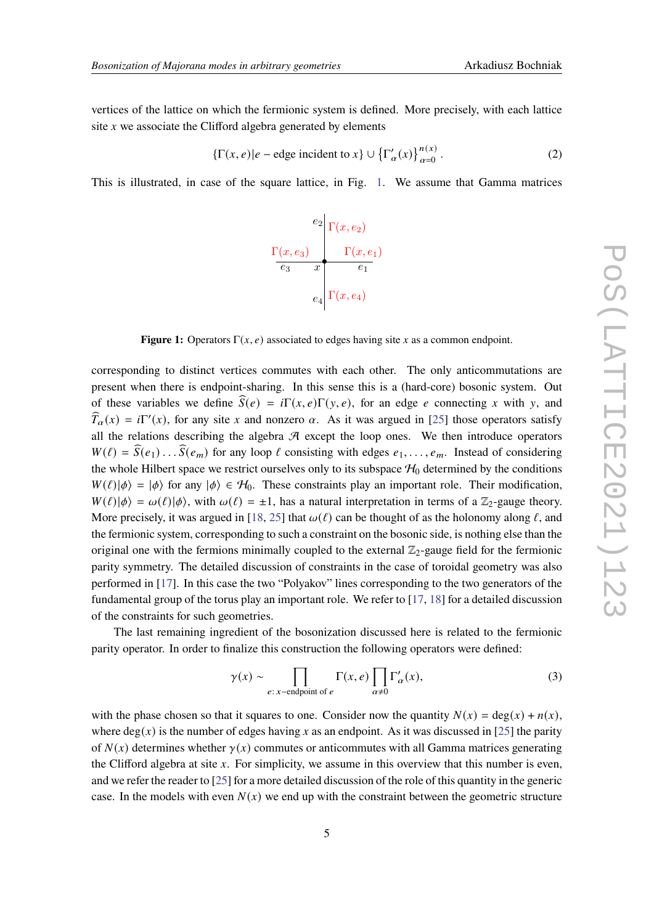vertices of the lattice on which the fermionic system is defined. More precisely, with each lattice site  $x$  we associate the Clifford algebra generated by elements

$$
\{\Gamma(x,e)|e-\text{edge incident to }x\}\cup\{\Gamma'_{\alpha}(x)\}_{\alpha=0}^{n(x)}.
$$
 (2)

<span id="page-4-0"></span>This is illustrated, in case of the square lattice, in Fig. [1.](#page-4-0) We assume that Gamma matrices



**Figure 1:** Operators  $\Gamma(x, e)$  associated to edges having site x as a common endpoint.

corresponding to distinct vertices commutes with each other. The only anticommutations are present when there is endpoint-sharing. In this sense this is a (hard-core) bosonic system. Out of these variables we define  $\widehat{S}(e) = i\Gamma(x,e)\Gamma(y,e)$ , for an edge e connecting x with y, and  $\widehat{T}_{\alpha}(x) = i\Gamma'(x)$ , for any site x and nonzero  $\alpha$ . As it was argued in [\[25\]](#page-8-0) those operators satisfy all the relations describing the algebra  $A$  except the loop ones. We then introduce operators  $W(\ell) = \widehat{S}(e_1) \dots \widehat{S}(e_m)$  for any loop  $\ell$  consisting with edges  $e_1, \dots, e_m$ . Instead of considering the whole Hilbert space we restrict ourselves only to its subspace  $H_0$  determined by the conditions  $W(\ell)|\phi\rangle = |\phi\rangle$  for any  $|\phi\rangle \in \mathcal{H}_0$ . These constraints play an important role. Their modification,  $W(\ell)|\phi\rangle = \omega(\ell)|\phi\rangle$ , with  $\omega(\ell) = \pm 1$ , has a natural interpretation in terms of a  $\mathbb{Z}_2$ -gauge theory. More precisely, it was argued in [\[18,](#page-8-2) [25\]](#page-8-0) that  $\omega(\ell)$  can be thought of as the holonomy along  $\ell$ , and the fermionic system, corresponding to such a constraint on the bosonic side, is nothing else than the original one with the fermions minimally coupled to the external  $\mathbb{Z}_2$ -gauge field for the fermionic parity symmetry. The detailed discussion of constraints in the case of toroidal geometry was also performed in [\[17\]](#page-8-1). In this case the two "Polyakov" lines corresponding to the two generators of the fundamental group of the torus play an important role. We refer to [\[17,](#page-8-1) [18\]](#page-8-2) for a detailed discussion of the constraints for such geometries.

The last remaining ingredient of the bosonization discussed here is related to the fermionic parity operator. In order to finalize this construction the following operators were defined:

$$
\gamma(x) \sim \prod_{e:\,x-\text{endpoint of }e} \Gamma(x,e) \prod_{\alpha \neq 0} \Gamma'_{\alpha}(x),\tag{3}
$$

with the phase chosen so that it squares to one. Consider now the quantity  $N(x) = \deg(x) + n(x)$ , where deg(x) is the number of edges having x as an endpoint. As it was discussed in [\[25\]](#page-8-0) the parity of  $N(x)$  determines whether  $\gamma(x)$  commutes or anticommutes with all Gamma matrices generating the Clifford algebra at site  $x$ . For simplicity, we assume in this overview that this number is even, and we refer the reader to [\[25\]](#page-8-0) for a more detailed discussion of the role of this quantity in the generic case. In the models with even  $N(x)$  we end up with the constraint between the geometric structure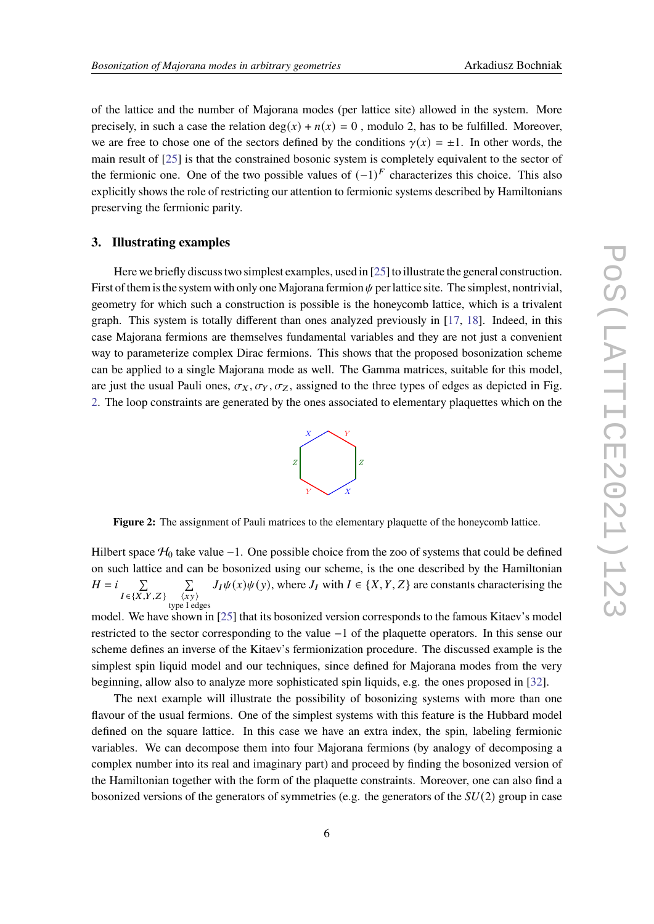of the lattice and the number of Majorana modes (per lattice site) allowed in the system. More precisely, in such a case the relation deg(x) +  $n(x) = 0$ , modulo 2, has to be fulfilled. Moreover, we are free to chose one of the sectors defined by the conditions  $\gamma(x) = \pm 1$ . In other words, the main result of [\[25\]](#page-8-0) is that the constrained bosonic system is completely equivalent to the sector of the fermionic one. One of the two possible values of  $(-1)^F$  characterizes this choice. This also explicitly shows the role of restricting our attention to fermionic systems described by Hamiltonians preserving the fermionic parity.

#### **3. Illustrating examples**

Here we briefly discuss two simplest examples, used in [\[25\]](#page-8-0) to illustrate the general construction. First of them is the system with only one Majorana fermion  $\psi$  per lattice site. The simplest, nontrivial, geometry for which such a construction is possible is the honeycomb lattice, which is a trivalent graph. This system is totally different than ones analyzed previously in [\[17,](#page-8-1) [18\]](#page-8-2). Indeed, in this case Majorana fermions are themselves fundamental variables and they are not just a convenient way to parameterize complex Dirac fermions. This shows that the proposed bosonization scheme can be applied to a single Majorana mode as well. The Gamma matrices, suitable for this model, are just the usual Pauli ones,  $\sigma_X, \sigma_Y, \sigma_Z$ , assigned to the three types of edges as depicted in Fig. [2.](#page-5-0) The loop constraints are generated by the ones associated to elementary plaquettes which on the



<span id="page-5-0"></span>**Figure 2:** The assignment of Pauli matrices to the elementary plaquette of the honeycomb lattice.

Hilbert space  $H_0$  take value −1. One possible choice from the zoo of systems that could be defined on such lattice and can be bosonized using our scheme, is the one described by the Hamiltonian  $H = i$ Í  $I \in \{X, Y, Z\}$ Í  $\langle \overline{xy} \rangle$ type I edges  $J_I\psi(x)\psi(y)$ , where  $J_I$  with  $I \in \{X, Y, Z\}$  are constants characterising the

model. We have shown in [\[25\]](#page-8-0) that its bosonized version corresponds to the famous Kitaev's model restricted to the sector corresponding to the value −1 of the plaquette operators. In this sense our scheme defines an inverse of the Kitaev's fermionization procedure. The discussed example is the simplest spin liquid model and our techniques, since defined for Majorana modes from the very beginning, allow also to analyze more sophisticated spin liquids, e.g. the ones proposed in [\[32\]](#page-8-13).

The next example will illustrate the possibility of bosonizing systems with more than one flavour of the usual fermions. One of the simplest systems with this feature is the Hubbard model defined on the square lattice. In this case we have an extra index, the spin, labeling fermionic variables. We can decompose them into four Majorana fermions (by analogy of decomposing a complex number into its real and imaginary part) and proceed by finding the bosonized version of the Hamiltonian together with the form of the plaquette constraints. Moreover, one can also find a bosonized versions of the generators of symmetries (e.g. the generators of the  $SU(2)$  group in case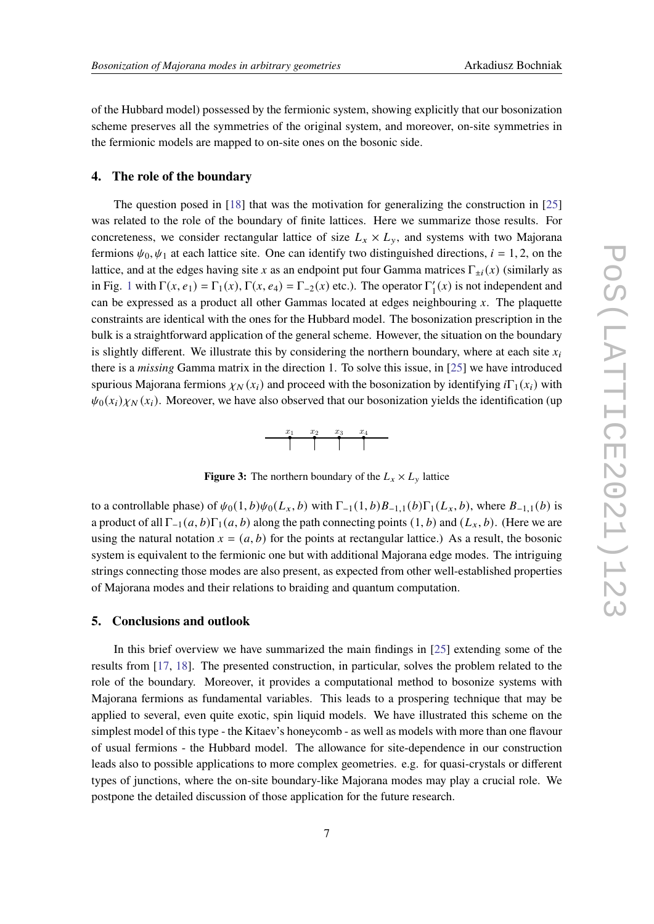of the Hubbard model) possessed by the fermionic system, showing explicitly that our bosonization scheme preserves all the symmetries of the original system, and moreover, on-site symmetries in the fermionic models are mapped to on-site ones on the bosonic side.

# <span id="page-6-0"></span>**4. The role of the boundary**

The question posed in [\[18\]](#page-8-2) that was the motivation for generalizing the construction in [\[25\]](#page-8-0) was related to the role of the boundary of finite lattices. Here we summarize those results. For concreteness, we consider rectangular lattice of size  $L_x \times L_y$ , and systems with two Majorana fermions  $\psi_0, \psi_1$  at each lattice site. One can identify two distinguished directions,  $i = 1, 2$ , on the lattice, and at the edges having site x as an endpoint put four Gamma matrices  $\Gamma_{\pm i}(x)$  (similarly as in Fig. [1](#page-4-0) with  $\Gamma(x, e_1) = \Gamma_1(x)$ ,  $\Gamma(x, e_4) = \Gamma_{-2}(x)$  etc.). The operator  $\Gamma'_1$  $\binom{1}{1}(x)$  is not independent and can be expressed as a product all other Gammas located at edges neighbouring  $x$ . The plaquette constraints are identical with the ones for the Hubbard model. The bosonization prescription in the bulk is a straightforward application of the general scheme. However, the situation on the boundary is slightly different. We illustrate this by considering the northern boundary, where at each site  $x_i$ there is a *missing* Gamma matrix in the direction 1. To solve this issue, in [\[25\]](#page-8-0) we have introduced spurious Majorana fermions  $\chi_N(x_i)$  and proceed with the bosonization by identifying  $i\Gamma_1(x_i)$  with  $\psi_0(x_i)\chi_N(x_i)$ . Moreover, we have also observed that our bosonization yields the identification (up



**Figure 3:** The northern boundary of the  $L_x \times L_y$  lattice

to a controllable phase) of  $\psi_0(1, b)\psi_0(L_x, b)$  with  $\Gamma_{-1}(1, b)B_{-1,1}(b)\Gamma_1(L_x, b)$ , where  $B_{-1,1}(b)$  is a product of all  $\Gamma_{-1}(a, b)\Gamma_1(a, b)$  along the path connecting points  $(1, b)$  and  $(L_x, b)$ . (Here we are using the natural notation  $x = (a, b)$  for the points at rectangular lattice.) As a result, the bosonic system is equivalent to the fermionic one but with additional Majorana edge modes. The intriguing strings connecting those modes are also present, as expected from other well-established properties of Majorana modes and their relations to braiding and quantum computation.

# <span id="page-6-1"></span>**5. Conclusions and outlook**

In this brief overview we have summarized the main findings in [\[25\]](#page-8-0) extending some of the results from [\[17,](#page-8-1) [18\]](#page-8-2). The presented construction, in particular, solves the problem related to the role of the boundary. Moreover, it provides a computational method to bosonize systems with Majorana fermions as fundamental variables. This leads to a prospering technique that may be applied to several, even quite exotic, spin liquid models. We have illustrated this scheme on the simplest model of this type - the Kitaev's honeycomb - as well as models with more than one flavour of usual fermions - the Hubbard model. The allowance for site-dependence in our construction leads also to possible applications to more complex geometries. e.g. for quasi-crystals or different types of junctions, where the on-site boundary-like Majorana modes may play a crucial role. We postpone the detailed discussion of those application for the future research.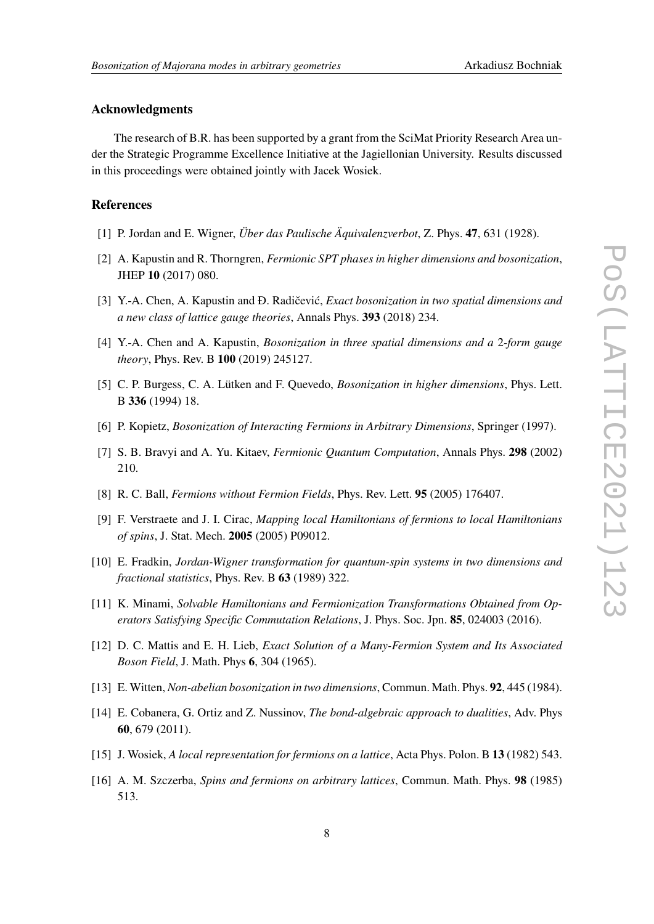# **Acknowledgments**

The research of B.R. has been supported by a grant from the SciMat Priority Research Area under the Strategic Programme Excellence Initiative at the Jagiellonian University. Results discussed in this proceedings were obtained jointly with Jacek Wosiek.

# **References**

- <span id="page-7-0"></span>[1] P. Jordan and E. Wigner, *Über das Paulische Äquivalenzverbot*, Z. Phys. **47**, 631 (1928).
- <span id="page-7-1"></span>[2] A. Kapustin and R. Thorngren, *Fermionic SPT phases in higher dimensions and bosonization*, JHEP **10** (2017) 080.
- <span id="page-7-6"></span>[3] Y.-A. Chen, A. Kapustin and Ð. Radičević, *Exact bosonization in two spatial dimensions and a new class of lattice gauge theories*, Annals Phys. **393** (2018) 234.
- <span id="page-7-7"></span>[4] Y.-A. Chen and A. Kapustin, *Bosonization in three spatial dimensions and a* 2*-form gauge theory*, Phys. Rev. B **100** (2019) 245127.
- [5] C. P. Burgess, C. A. Lütken and F. Quevedo, *Bosonization in higher dimensions*, Phys. Lett. B **336** (1994) 18.
- [6] P. Kopietz, *Bosonization of Interacting Fermions in Arbitrary Dimensions*, Springer (1997).
- [7] S. B. Bravyi and A. Yu. Kitaev, *Fermionic Quantum Computation*, Annals Phys. **298** (2002) 210.
- [8] R. C. Ball, *Fermions without Fermion Fields*, Phys. Rev. Lett. **95** (2005) 176407.
- [9] F. Verstraete and J. I. Cirac, *Mapping local Hamiltonians of fermions to local Hamiltonians of spins*, J. Stat. Mech. **2005** (2005) P09012.
- [10] E. Fradkin, *Jordan-Wigner transformation for quantum-spin systems in two dimensions and fractional statistics*, Phys. Rev. B **63** (1989) 322.
- <span id="page-7-2"></span>[11] K. Minami, *Solvable Hamiltonians and Fermionization Transformations Obtained from Operators Satisfying Specific Commutation Relations*, J. Phys. Soc. Jpn. **85**, 024003 (2016).
- <span id="page-7-3"></span>[12] D. C. Mattis and E. H. Lieb, *Exact Solution of a Many-Fermion System and Its Associated Boson Field*, J. Math. Phys **6**, 304 (1965).
- <span id="page-7-4"></span>[13] E. Witten, *Non-abelian bosonization in two dimensions*, Commun. Math. Phys. **92**, 445 (1984).
- <span id="page-7-5"></span>[14] E. Cobanera, G. Ortiz and Z. Nussinov, *The bond-algebraic approach to dualities*, Adv. Phys **60**, 679 (2011).
- <span id="page-7-8"></span>[15] J. Wosiek, *A local representation for fermions on a lattice*, Acta Phys. Polon. B **13** (1982) 543.
- <span id="page-7-9"></span>[16] A. M. Szczerba, *Spins and fermions on arbitrary lattices*, Commun. Math. Phys. **98** (1985) 513.